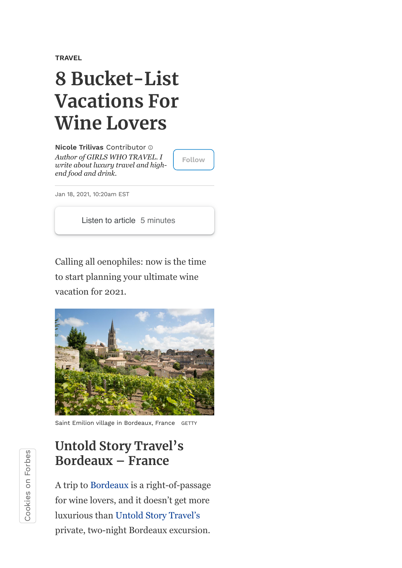**[TRAVEL](https://www.forbes.com/travel)**

# **8 Bucket-List Vacations For Wine Lovers**

*Author of GIRLS WHO TRAVEL. I write about luxury travel and highend food and drink.* **Nicole [Trilivas](https://www.forbes.com/sites/nicoletrilivas/)** Contributor

**Follow**

Jan 18, 2021, 10:20am EST

Listen to article 5 minutes

Calling all oenophiles: now is the time to start planning your ultimate wine vacation for 2021.



Saint Emilion village in Bordeaux, France GETTY

#### **Untold Story Travel's Bordeaux – France**

A trip to [Bordeaux](https://www.bordeaux-tourism.co.uk/) is a right-of-passage for wine lovers, and it doesn't get more luxurious than [Untold Story Travel's](https://www.untoldstorytravel.com/) private, two-night Bordeaux excursion.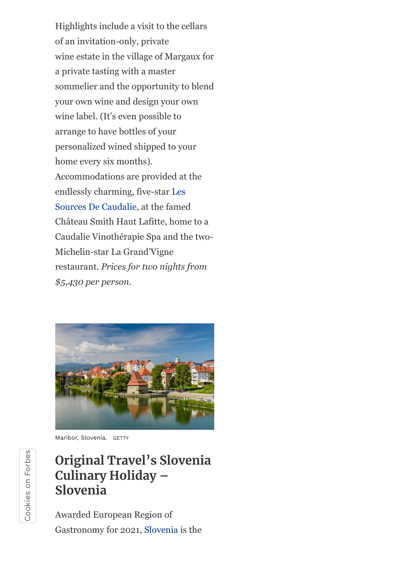Highlights include a visit to the cellars of an invitation-only, private wine estate in the village of Margaux for a private tasting with a master sommelier and the opportunity to blend your own wine and design your own wine label. (It's even possible to arrange to have bottles of your personalized wined shipped to your home every six months). Accommodations are provided at the endlessly charming, five-star Les [Sources De Caudalie, at the famed](https://www.sources-caudalie.com/) Château Smith Haut Lafitte, home to a Caudalie Vinothérapie Spa and the two-Michelin-star La Grand'Vigne restaurant. *Prices for two nights from \$5,430 per person.*



Maribor, Slovenia. GETTY

## **Original Travel's Slovenia Culinary Holiday – Slovenia**

Awarded European Region of Gastronomy for 2021, [Slovenia](https://www.slovenia.info/en) is the

Cookiesຣ<br>໐ Forbes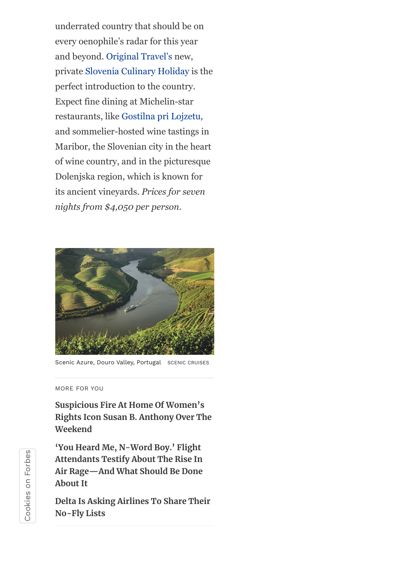underrated country that should be on every oenophile's radar for this year and beyond. [Original Travel's](https://www.originaltravel.co.uk/itineraries/slovenia-culinary-holiday) new, private [Slovenia Culinary Holiday](https://www.originaltravel.co.uk/itineraries/slovenia-culinary-holiday) is the perfect introduction to the country. Expect fine dining at Michelin-star restaurants, like [Gostilna pri Lojzetu](https://www.zemono.si/en/), and sommelier-hosted wine tastings in Maribor, the Slovenian city in the heart of wine country, and in the picturesque Dolenjska region, which is known for its ancient vineyards. *Prices for seven nights from \$4,050 per person.*



Scenic Azure, Douro Valley, Portugal SCENIC CRUISES

#### MORE FOR YOU

**Suspicious Fire At Home Of Women's [Rights Icon Susan B. Anthony Over The](https://www.forbes.com/sites/suzannerowankelleher/2021/09/27/fire-womens-rights-susan-b-anthony/) Weekend**

**'You Heard Me, N-Word Boy.' Flight Attendants Testify About The Rise In [Air Rage—And What Should Be Done](https://www.forbes.com/sites/suzannerowankelleher/2021/09/25/flight-attendants-testify-air-rage/) About It**

**[Delta Is Asking Airlines To Share Their](https://www.forbes.com/sites/suzannerowankelleher/2021/09/25/delta-is-asking-airlines-to-share-their-no-fly-lists/) No-Fly Lists**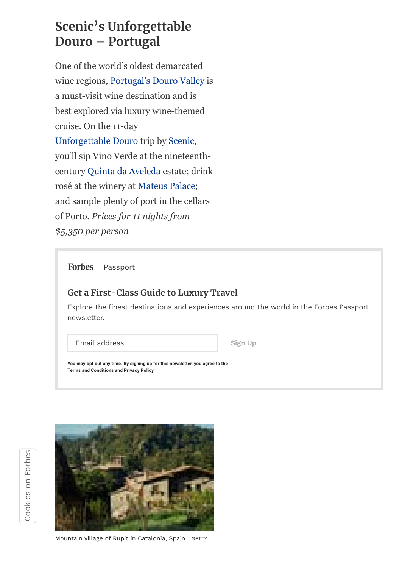## **Scenic's Unforgettable Douro – Portugal**

One of the world's oldest demarcated wine regions, [Portugal's Douro Valley](http://www.visitportoandnorth.travel/) is a must-visit wine destination and is best explored via luxury wine-themed cruise. On the 11-day [Unforgettable Douro](https://www.scenic.co.uk/tours/unforgettable-douro/11340) trip by [Scenic,](https://www.scenic.co.uk/) you'll sip Vino Verde at the nineteenthcentury [Quinta da Aveleda](https://www.aveleda.com/en) estate; drink rosé at the winery at [Mateus Palace](http://www.casademateus.com/); and sample plenty of port in the cellars of Porto. *Prices for 11 nights from \$5,350 per person*

**Forbes** Passport

#### **Get a First-Class Guide to Luxury Travel**

Explore the finest destinations and experiences around the world in the Forbes Passport newsletter.

Email address **Sign** Up

**You may opt out any time. By signing up for this newsletter, you agree to the Terms and [Conditions](https://www.forbes.com/terms-and-conditions/?_ptid=%7Bkpdx%7DAAAAvbanZXvwrgoKWWoyZlJyQ1BwdRIQbDF3YndxODd0b3FjZDNuNhoMRVgzUFNFSzdUOElYIiUxODA1ODE4MGQ0LTAwMDAzMDB1ZzBnMjBsZjF0dnI5ZnRnazhzKhtzaG93VGVtcGxhdGU1Tk1LQk5GUVNWTDExNTEwAToMT1RNTkI1Nkc2RUZVQg1PVFZUVVo5WUtXU0hOUhJ2LWwxd2JsaGYzcGhlbTlrMWZaDTk1LjIyOS4xODkuMzZiA2RtY2jS5tuSBg) and [Privacy](https://www.forbes.com/privacy/english?_ptid=%7Bkpdx%7DAAAAvbanZXvwrgoKWWoyZlJyQ1BwdRIQbDF3YndxODd0b3FjZDNuNhoMRVgzUFNFSzdUOElYIiUxODA1ODE4MGQ0LTAwMDAzMDB1ZzBnMjBsZjF0dnI5ZnRnazhzKhtzaG93VGVtcGxhdGU1Tk1LQk5GUVNWTDExNTEwAToMT1RNTkI1Nkc2RUZVQg1PVFZUVVo5WUtXU0hOUhJ2LWwxd2JsaGYzcGhlbTlrMWZaDTk1LjIyOS4xODkuMzZiA2RtY2jS5tuSBg) Policy**



Mountain village of Rupit in Catalonia, Spain GETTY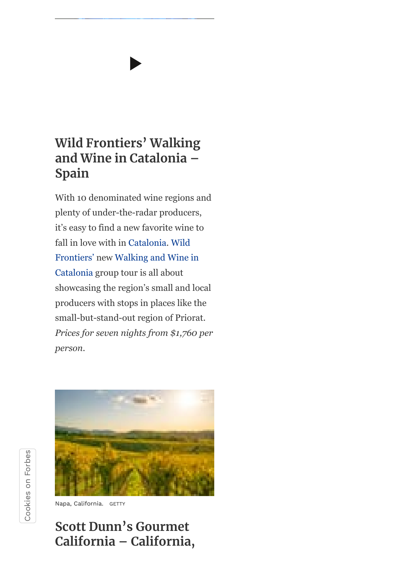### **Wild Frontiers' Walking and Wine in Catalonia – Spain**

With 10 denominated wine regions and plenty of under-the-radar producers, it's easy to find a new favorite wine to fall in love with in [Catalonia.](https://www.catalunya.com/?language=en) Wild [Frontiers' new Walking and Wine](https://www.wildfrontierstravel.com/en_GB) [in](https://www.wildfrontierstravel.com/en_GB/destination/spain/group-tours/walking-and-wine-in-the-heart-of-catalonia/CAT) Catalonia group tour is all about showcasing the region's small and local producers with stops in places like the small-but-stand-out region of Priorat. *Prices for seven nights from \$1,760 per person.*



Napa, California. GETTY

#### **Scott Dunn's Gourmet California – California,**

Cookiesຣ<br>໐ Forbes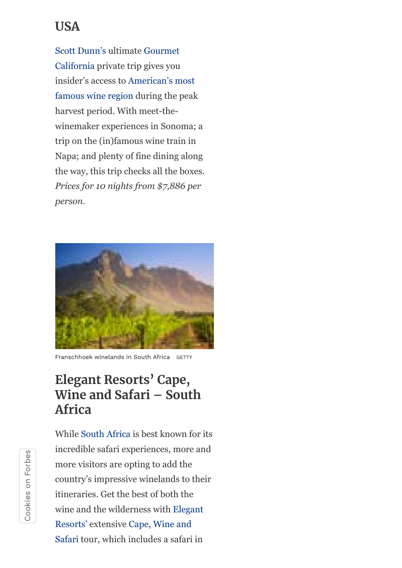### **USA**

[Scott Dunn's](https://www.scottdunn.com/) ultimate Gourmet [California private trip gives you](https://www.scottdunn.com/usa/tours/gourmet-california) [insider's access to American's most](https://www.visitcalifornia.com/) famous wine region during the peak harvest period. With meet-thewinemaker experiences in Sonoma; a trip on the (in)famous wine train in Napa; and plenty of fine dining along the way, this trip checks all the boxes. *Prices for 10 nights from \$7,886 per person.*



Franschhoek winelands in South Africa GETTY

#### **Elegant Resorts' Cape, Wine and Safari – South Africa**

While [South Africa](https://www.southafrica.net/gl/en/corporate) is best known for its incredible safari experiences, more and more visitors are opting to add the country's impressive winelands to their itineraries. Get the best of both the [wine and the wilderness with Elegant](https://www.elegantresorts.co.uk/) Resorts' extensive Cape, Wine and [Safari tour, which includes a safari](https://www.elegantresorts.co.uk/tailor-made-tours/tour/cape-wine-and-safari) in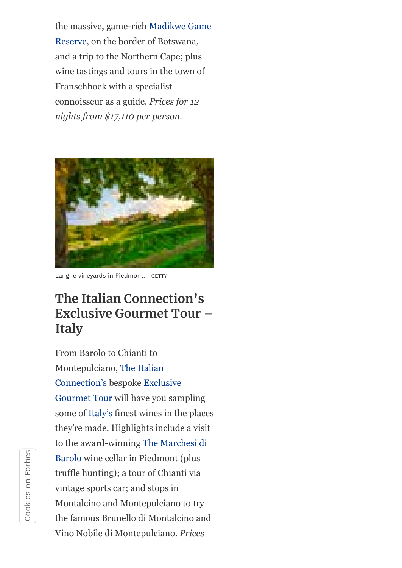[the massive, game-rich Madikwe Game](https://www.madikwegamereserve.co.za/) Reserve, on the border of Botswana, and a trip to the Northern Cape; plus wine tastings and tours in the town of Franschhoek with a specialist connoisseur as a guide. *Prices for 12 nights from \$17,110 per person.*



Langhe vineyards in Piedmont. GETTY

### **The Italian Connection's Exclusive Gourmet Tour – Italy**

From Barolo to Chianti to [Montepulciano, The Italian](https://www.italian-connection.co.uk/bespoke-italian-holidays) [Connection's bespoke Exclusive](https://www.italian-connection.co.uk/gourmet-tour-italy) Gourmet Tour will have you sampling some of [Italy's](http://www.italia.it/en/home.html) finest wines in the places they're made. Highlights include a visit [to the award-winning The Marchesi di](https://marchesibarolo.com/en/) Barolo wine cellar in Piedmont (plus truffle hunting); a tour of Chianti via vintage sports car; and stops in Montalcino and Montepulciano to try the famous Brunello di Montalcino and Vino Nobile di Montepulciano. *Prices*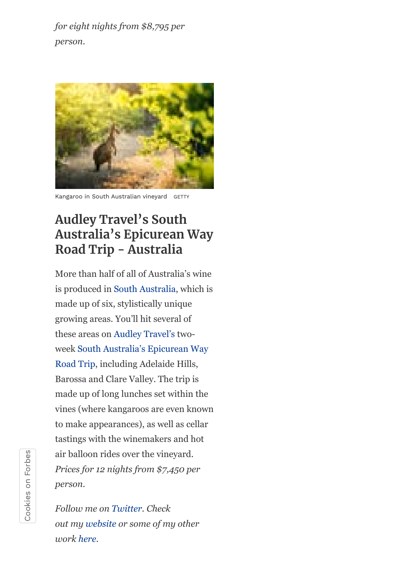*for eight nights from \$8,795 per person.*



Kangaroo in South Australian vineyard GETTY

### **Audley Travel's South Australia's Epicurean Way Road Trip - Australia**

More than half of all of Australia's wine is produced in [South Australia](https://southaustralia.com/), which is made up of six, stylistically unique growing areas. You'll hit several of these areas on [Audley Travel's](https://www.audleytravel.com/) two[week South Australia's Epicurean Way](https://southaustralia.com/travel-blog/epicurean-way-road-trip) Road Trip, including Adelaide Hills, Barossa and Clare Valley. The trip is made up of long lunches set within the vines (where kangaroos are even known to make appearances), as well as cellar tastings with the winemakers and hot air balloon rides over the vineyard. *Prices for 12 nights from \$7,450 per person.*

*Follow me on [Twitter](https://www.twitter.com/@nicoletrilivas). Check out my [website](http://www.nicoletrilivas.com/) or some of my other work [here](https://www.amazon.com/Girls-Who-Travel-Nicole-Trilivas/dp/0425281442/).*